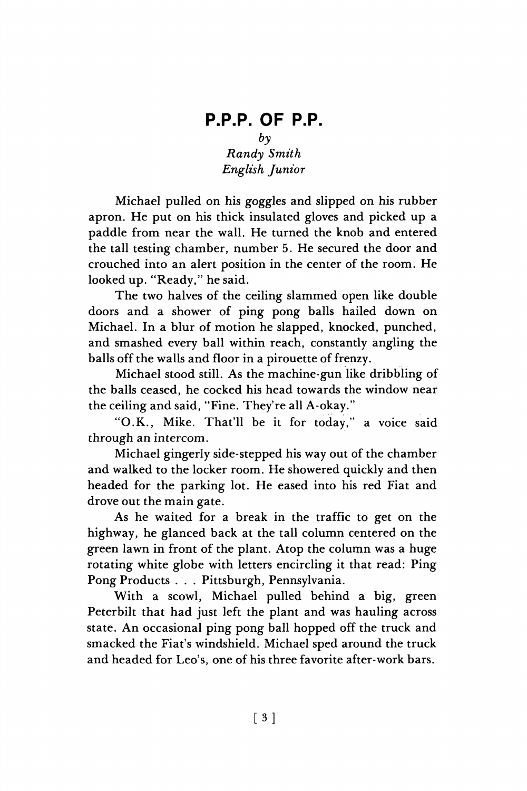## **P.P.P. OF P.P.**   $b<sub>v</sub>$ *Randy Smith English Junior*

Michael pulled on his goggles and slipped on his rubber apron. He put on his thick insulated gloves and picked up a paddle from near the wall. He turned the knob and entered the tall testing chamber, number 5. He secured the door and crouched into an alert position in the center of the room. He looked up. "Ready," he said.

The two halves of the ceiling slammed open like double doors and a shower of ping pong balls hailed down on Michael. In a blur of motion he slapped, knocked, punched, and smashed every ball within reach, constantly angling the balls off the walls and floor in a pirouette of frenzy.

Michael stood still. As the machine-gun like dribbling of the balls ceased, he cocked his head towards the window near the ceiling and said, "Fine. They're all A-okay."

"O.K., Mike. That'll be it for today," a voice said through an intercom.

Michael gingerly side-stepped his way out of the chamber and walked to the locker room. He showered quickly and then headed for the parking lot. He eased into his red Fiat and drove out the main gate.

As he waited for a break in the traffic to get on the highway, he glanced back at the tall column centered on the green lawn in front of the plant. Atop the column was a huge rotating white globe with letters encircling it that read: Ping Pong Products . . . Pittsburgh, Pennsylvania.

With a scowl, Michael pulled behind a big, green Peterbilt that had just left the plant and was hauling across state. An occasional ping pong ball hopped off the truck and smacked the Fiat's windshield. Michael sped around the truck and headed for Leo's, one of his three favorite after-work bars.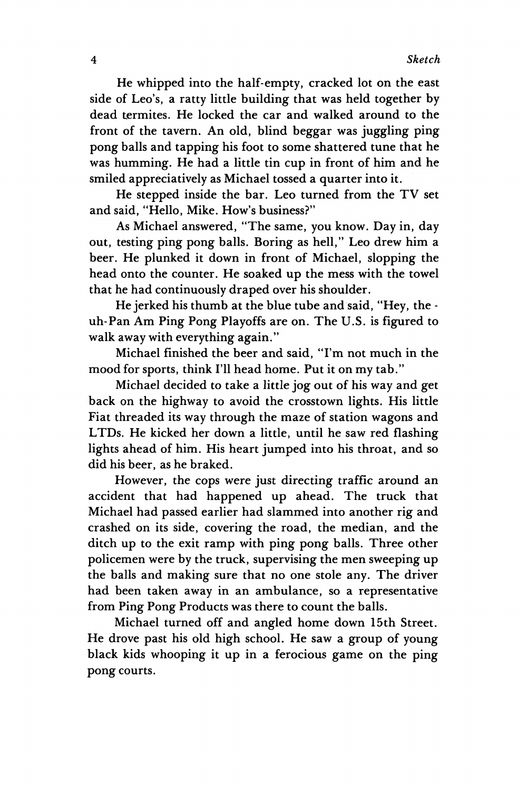**He whipped into the half-empty, cracked lot on the east side of Leo's, a ratty little building that was held together by dead termites. He locked the car and walked around to the front of the tavern. An old, blind beggar was juggling ping pong balls and tapping his foot to some shattered tune that he was humming. He had a little tin cup in front of him and he smiled appreciatively as Michael tossed a quarter into it.** 

**He stepped inside the bar. Leo turned from the TV set and said, "Hello, Mike. How's business?"** 

**As Michael answered, "The same, you know. Day in, day out, testing ping pong balls. Boring as hell," Leo drew him a beer. He plunked it down in front of Michael, slopping the head onto the counter. He soaked up the mess with the towel that he had continuously draped over his shoulder.** 

**He jerked his thumb at the blue tube and said, "Hey, the uh-Pan Am Ping Pong Playoffs are on. The U.S. is figured to walk away with everything again."** 

**Michael finished the beer and said, "I'm not much in the mood for sports, think I'll head home. Put it on my tab."** 

**Michael decided to take a little jog out of his way and get back on the highway to avoid the crosstown lights. His little Fiat threaded its way through the maze of station wagons and LTDs. He kicked her down a little, until he saw red flashing lights ahead of him. His heart jumped into his throat, and so did his beer, as he braked.** 

**However, the cops were just directing traffic around an accident that had happened up ahead. The truck that Michael had passed earlier had slammed into another rig and crashed on its side, covering the road, the median, and the ditch up to the exit ramp with ping pong balls. Three other policemen were by the truck, supervising the men sweeping up the balls and making sure that no one stole any. The driver had been taken away in an ambulance, so a representative from Ping Pong Products was there to count the balls.** 

**Michael turned off and angled home down 15th Street. He drove past his old high school. He saw a group of young black kids whooping it up in a ferocious game on the ping pong courts.**